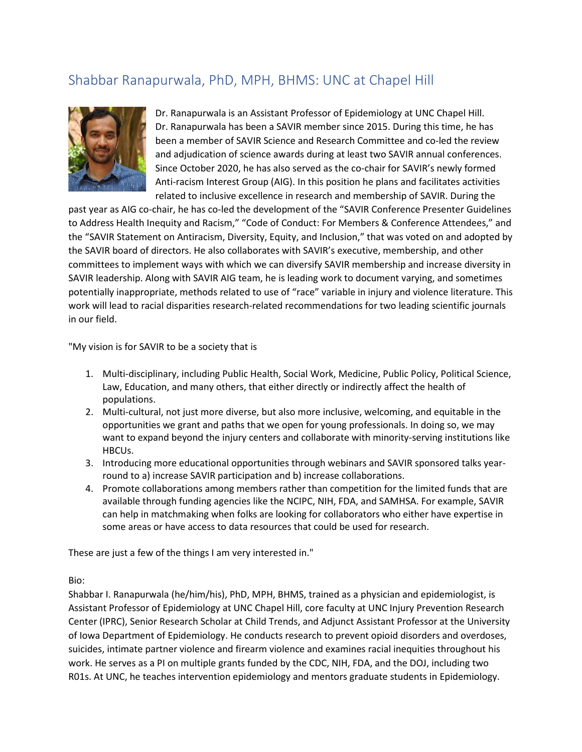## Shabbar Ranapurwala, PhD, MPH, BHMS: UNC at Chapel Hill



Dr. Ranapurwala is an Assistant Professor of Epidemiology at UNC Chapel Hill. Dr. Ranapurwala has been a SAVIR member since 2015. During this time, he has been a member of SAVIR Science and Research Committee and co-led the review and adjudication of science awards during at least two SAVIR annual conferences. Since October 2020, he has also served as the co-chair for SAVIR's newly formed Anti-racism Interest Group (AIG). In this position he plans and facilitates activities related to inclusive excellence in research and membership of SAVIR. During the

past year as AIG co-chair, he has co-led the development of the "SAVIR Conference Presenter Guidelines to Address Health Inequity and Racism," "Code of Conduct: For Members & Conference Attendees," and the "SAVIR Statement on Antiracism, Diversity, Equity, and Inclusion," that was voted on and adopted by the SAVIR board of directors. He also collaborates with SAVIR's executive, membership, and other committees to implement ways with which we can diversify SAVIR membership and increase diversity in SAVIR leadership. Along with SAVIR AIG team, he is leading work to document varying, and sometimes potentially inappropriate, methods related to use of "race" variable in injury and violence literature. This work will lead to racial disparities research-related recommendations for two leading scientific journals in our field.

"My vision is for SAVIR to be a society that is

- 1. Multi-disciplinary, including Public Health, Social Work, Medicine, Public Policy, Political Science, Law, Education, and many others, that either directly or indirectly affect the health of populations.
- 2. Multi-cultural, not just more diverse, but also more inclusive, welcoming, and equitable in the opportunities we grant and paths that we open for young professionals. In doing so, we may want to expand beyond the injury centers and collaborate with minority-serving institutions like HBCUs.
- 3. Introducing more educational opportunities through webinars and SAVIR sponsored talks yearround to a) increase SAVIR participation and b) increase collaborations.
- 4. Promote collaborations among members rather than competition for the limited funds that are available through funding agencies like the NCIPC, NIH, FDA, and SAMHSA. For example, SAVIR can help in matchmaking when folks are looking for collaborators who either have expertise in some areas or have access to data resources that could be used for research.

These are just a few of the things I am very interested in."

Bio:

Shabbar I. Ranapurwala (he/him/his), PhD, MPH, BHMS, trained as a physician and epidemiologist, is Assistant Professor of Epidemiology at UNC Chapel Hill, core faculty at UNC Injury Prevention Research Center (IPRC), Senior Research Scholar at Child Trends, and Adjunct Assistant Professor at the University of Iowa Department of Epidemiology. He conducts research to prevent opioid disorders and overdoses, suicides, intimate partner violence and firearm violence and examines racial inequities throughout his work. He serves as a PI on multiple grants funded by the CDC, NIH, FDA, and the DOJ, including two R01s. At UNC, he teaches intervention epidemiology and mentors graduate students in Epidemiology.